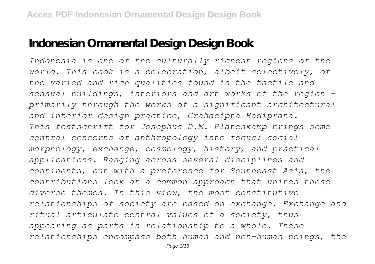## **Indonesian Ornamental Design Design Book**

*Indonesia is one of the culturally richest regions of the world. This book is a celebration, albeit selectively, of the varied and rich qualities found in the tactile and sensual buildings, interiors and art works of the region primarily through the works of a significant architectural and interior design practice, Grahacipta Hadiprana. This festschrift for Josephus D.M. Platenkamp brings some central concerns of anthropology into focus: social morphology, exchange, cosmology, history, and practical applications. Ranging across several disciplines and continents, but with a preference for Southeast Asia, the contributions look at a common approach that unites these diverse themes. In this view, the most constitutive relationships of society are based on exchange. Exchange and ritual articulate central values of a society, thus appearing as parts in relationship to a whole. These relationships encompass both human and non-human beings, the*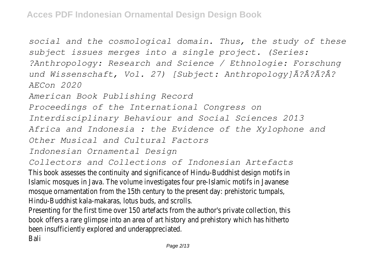*social and the cosmological domain. Thus, the study of these subject issues merges into a single project. (Series: ?Anthropology: Research and Science / Ethnologie: Forschung und Wissenschaft, Vol. 27) [Subject: Anthropology]Ã?Â?Ã?Â? AECon 2020*

*American Book Publishing Record*

*Proceedings of the International Congress on*

*Interdisciplinary Behaviour and Social Sciences 2013*

*Africa and Indonesia : the Evidence of the Xylophone and*

*Other Musical and Cultural Factors*

*Indonesian Ornamental Design*

*Collectors and Collections of Indonesian Artefacts*

This book assesses the continuity and significance of Hindu-Buddhist design motifs in Islamic mosques in Java. The volume investigates four pre-Islamic motifs in Javanese mosque ornamentation from the 15th century to the present day: prehistoric tumpals, Hindu-Buddhist kala-makaras, lotus buds, and scrolls.

Presenting for the first time over 150 artefacts from the author's private collection, this book offers a rare glimpse into an area of art history and prehistory which has hitherto been insufficiently explored and underappreciated.

Bali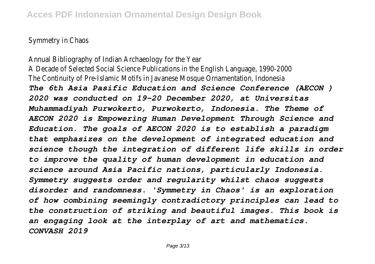Symmetry in Chaos

Annual Bibliography of Indian Archaeology for the Year A Decade of Selected Social Science Publications in the English Language, 1990-2000 The Continuity of Pre-Islamic Motifs in Javanese Mosque Ornamentation, Indonesia *The 6th Asia Pasific Education and Science Conference (AECON ) 2020 was conducted on 19-20 December 2020, at Universitas Muhammadiyah Purwokerto, Purwokerto, Indonesia. The Theme of AECON 2020 is Empowering Human Development Through Science and Education. The goals of AECON 2020 is to establish a paradigm that emphasizes on the development of integrated education and science though the integration of different life skills in order to improve the quality of human development in education and science around Asia Pacific nations, particularly Indonesia. Symmetry suggests order and regularity whilst chaos suggests disorder and randomness. 'Symmetry in Chaos' is an exploration of how combining seemingly contradictory principles can lead to the construction of striking and beautiful images. This book is an engaging look at the interplay of art and mathematics. CONVASH 2019*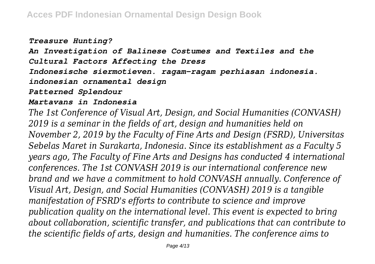## *Treasure Hunting?*

*An Investigation of Balinese Costumes and Textiles and the Cultural Factors Affecting the Dress*

*Indonesische siermotieven. ragam-ragam perhiasan indonesia.*

*indonesian ornamental design*

*Patterned Splendour*

## *Martavans in Indonesia*

*The 1st Conference of Visual Art, Design, and Social Humanities (CONVASH) 2019 is a seminar in the fields of art, design and humanities held on November 2, 2019 by the Faculty of Fine Arts and Design (FSRD), Universitas Sebelas Maret in Surakarta, Indonesia. Since its establishment as a Faculty 5 years ago, The Faculty of Fine Arts and Designs has conducted 4 international conferences. The 1st CONVASH 2019 is our international conference new brand and we have a commitment to hold CONVASH annually. Conference of Visual Art, Design, and Social Humanities (CONVASH) 2019 is a tangible manifestation of FSRD's efforts to contribute to science and improve publication quality on the international level. This event is expected to bring about collaboration, scientific transfer, and publications that can contribute to the scientific fields of arts, design and humanities. The conference aims to*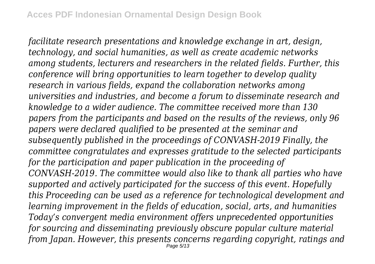*facilitate research presentations and knowledge exchange in art, design, technology, and social humanities, as well as create academic networks among students, lecturers and researchers in the related fields. Further, this conference will bring opportunities to learn together to develop quality research in various fields, expand the collaboration networks among universities and industries, and become a forum to disseminate research and knowledge to a wider audience. The committee received more than 130 papers from the participants and based on the results of the reviews, only 96 papers were declared qualified to be presented at the seminar and subsequently published in the proceedings of CONVASH-2019 Finally, the committee congratulates and expresses gratitude to the selected participants for the participation and paper publication in the proceeding of CONVASH-2019. The committee would also like to thank all parties who have supported and actively participated for the success of this event. Hopefully this Proceeding can be used as a reference for technological development and learning improvement in the fields of education, social, arts, and humanities Today's convergent media environment offers unprecedented opportunities for sourcing and disseminating previously obscure popular culture material from Japan. However, this presents concerns regarding copyright, ratings and* Page 5/13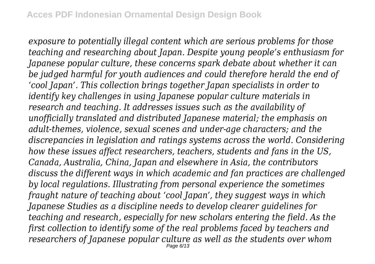*exposure to potentially illegal content which are serious problems for those teaching and researching about Japan. Despite young people's enthusiasm for Japanese popular culture, these concerns spark debate about whether it can be judged harmful for youth audiences and could therefore herald the end of 'cool Japan'. This collection brings together Japan specialists in order to identify key challenges in using Japanese popular culture materials in research and teaching. It addresses issues such as the availability of unofficially translated and distributed Japanese material; the emphasis on adult-themes, violence, sexual scenes and under-age characters; and the discrepancies in legislation and ratings systems across the world. Considering how these issues affect researchers, teachers, students and fans in the US, Canada, Australia, China, Japan and elsewhere in Asia, the contributors discuss the different ways in which academic and fan practices are challenged by local regulations. Illustrating from personal experience the sometimes fraught nature of teaching about 'cool Japan', they suggest ways in which Japanese Studies as a discipline needs to develop clearer guidelines for teaching and research, especially for new scholars entering the field. As the first collection to identify some of the real problems faced by teachers and researchers of Japanese popular culture as well as the students over whom*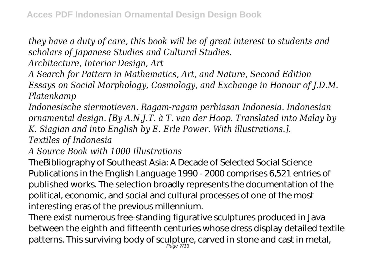*they have a duty of care, this book will be of great interest to students and scholars of Japanese Studies and Cultural Studies.*

*Architecture, Interior Design, Art*

*A Search for Pattern in Mathematics, Art, and Nature, Second Edition Essays on Social Morphology, Cosmology, and Exchange in Honour of J.D.M. Platenkamp*

*Indonesische siermotieven. Ragam-ragam perhiasan Indonesia. Indonesian ornamental design. [By A.N.J.T. à T. van der Hoop. Translated into Malay by K. Siagian and into English by E. Erle Power. With illustrations.].*

*Textiles of Indonesia*

*A Source Book with 1000 Illustrations*

TheBibliography of Southeast Asia: A Decade of Selected Social Science Publications in the English Language 1990 - 2000 comprises 6,521 entries of published works. The selection broadly represents the documentation of the political, economic, and social and cultural processes of one of the most interesting eras of the previous millennium.

There exist numerous free-standing figurative sculptures produced in Java between the eighth and fifteenth centuries whose dress display detailed textile patterns. This surviving body of sculpture, carved in stone and cast in metal, Page 7/13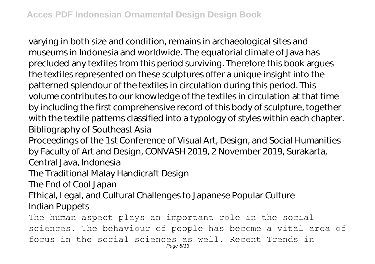varying in both size and condition, remains in archaeological sites and museums in Indonesia and worldwide. The equatorial climate of Java has precluded any textiles from this period surviving. Therefore this book argues the textiles represented on these sculptures offer a unique insight into the patterned splendour of the textiles in circulation during this period. This volume contributes to our knowledge of the textiles in circulation at that time by including the first comprehensive record of this body of sculpture, together with the textile patterns classified into a typology of styles within each chapter. Bibliography of Southeast Asia

Proceedings of the 1st Conference of Visual Art, Design, and Social Humanities by Faculty of Art and Design, CONVASH 2019, 2 November 2019, Surakarta, Central Java, Indonesia

The Traditional Malay Handicraft Design

The End of Cool Japan

Ethical, Legal, and Cultural Challenges to Japanese Popular Culture

Indian Puppets

The human aspect plays an important role in the social sciences. The behaviour of people has become a vital area of focus in the social sciences as well. Recent Trends in Page 8/13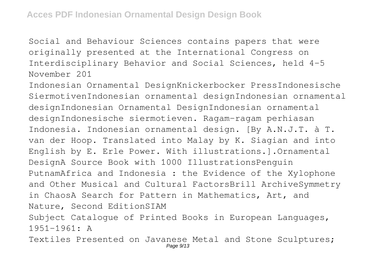Social and Behaviour Sciences contains papers that were originally presented at the International Congress on Interdisciplinary Behavior and Social Sciences, held 4-5 November 201

Indonesian Ornamental DesignKnickerbocker PressIndonesische SiermotivenIndonesian ornamental designIndonesian ornamental designIndonesian Ornamental DesignIndonesian ornamental designIndonesische siermotieven. Ragam-ragam perhiasan Indonesia. Indonesian ornamental design. [By A.N.J.T. à T. van der Hoop. Translated into Malay by K. Siagian and into English by E. Erle Power. With illustrations.].Ornamental DesignA Source Book with 1000 IllustrationsPenguin PutnamAfrica and Indonesia : the Evidence of the Xylophone and Other Musical and Cultural FactorsBrill ArchiveSymmetry in ChaosA Search for Pattern in Mathematics, Art, and Nature, Second EditionSIAM Subject Catalogue of Printed Books in European Languages, 1951-1961: A

Textiles Presented on Javanese Metal and Stone Sculptures; Page 9/13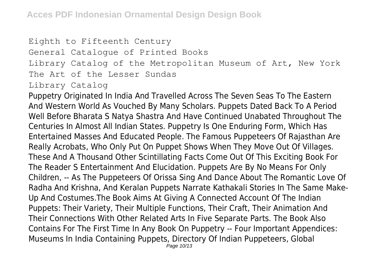## Eighth to Fifteenth Century General Catalogue of Printed Books Library Catalog of the Metropolitan Museum of Art, New York The Art of the Lesser Sundas Library Catalog

Puppetry Originated In India And Travelled Across The Seven Seas To The Eastern And Western World As Vouched By Many Scholars. Puppets Dated Back To A Period Well Before Bharata S Natya Shastra And Have Continued Unabated Throughout The Centuries In Almost All Indian States. Puppetry Is One Enduring Form, Which Has Entertained Masses And Educated People. The Famous Puppeteers Of Rajasthan Are Really Acrobats, Who Only Put On Puppet Shows When They Move Out Of Villages. These And A Thousand Other Scintillating Facts Come Out Of This Exciting Book For The Reader S Entertainment And Elucidation. Puppets Are By No Means For Only Children, -- As The Puppeteers Of Orissa Sing And Dance About The Romantic Love Of Radha And Krishna, And Keralan Puppets Narrate Kathakali Stories In The Same Make-Up And Costumes.The Book Aims At Giving A Connected Account Of The Indian Puppets: Their Variety, Their Multiple Functions, Their Craft, Their Animation And Their Connections With Other Related Arts In Five Separate Parts. The Book Also Contains For The First Time In Any Book On Puppetry -- Four Important Appendices: Museums In India Containing Puppets, Directory Of Indian Puppeteers, Global Page 10/13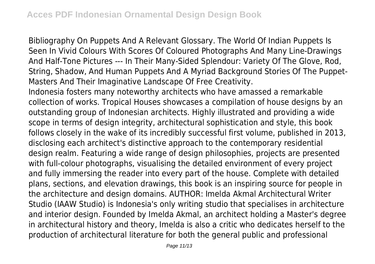Bibliography On Puppets And A Relevant Glossary. The World Of Indian Puppets Is Seen In Vivid Colours With Scores Of Coloured Photographs And Many Line-Drawings And Half-Tone Pictures --- In Their Many-Sided Splendour: Variety Of The Glove, Rod, String, Shadow, And Human Puppets And A Myriad Background Stories Of The Puppet-Masters And Their Imaginative Landscape Of Free Creativity.

Indonesia fosters many noteworthy architects who have amassed a remarkable collection of works. Tropical Houses showcases a compilation of house designs by an outstanding group of Indonesian architects. Highly illustrated and providing a wide scope in terms of design integrity, architectural sophistication and style, this book follows closely in the wake of its incredibly successful first volume, published in 2013, disclosing each architect's distinctive approach to the contemporary residential design realm. Featuring a wide range of design philosophies, projects are presented with full-colour photographs, visualising the detailed environment of every project and fully immersing the reader into every part of the house. Complete with detailed plans, sections, and elevation drawings, this book is an inspiring source for people in the architecture and design domains. AUTHOR: Imelda Akmal Architectural Writer Studio (IAAW Studio) is Indonesia's only writing studio that specialises in architecture and interior design. Founded by Imelda Akmal, an architect holding a Master's degree in architectural history and theory, Imelda is also a critic who dedicates herself to the production of architectural literature for both the general public and professional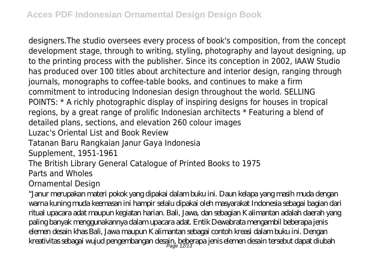designers.The studio oversees every process of book's composition, from the concept development stage, through to writing, styling, photography and layout designing, up to the printing process with the publisher. Since its conception in 2002, IAAW Studio has produced over 100 titles about architecture and interior design, ranging through journals, monographs to coffee-table books, and continues to make a firm commitment to introducing Indonesian design throughout the world. SELLING POINTS: \* A richly photographic display of inspiring designs for houses in tropical regions, by a great range of prolific Indonesian architects \* Featuring a blend of detailed plans, sections, and elevation 260 colour images Luzac's Oriental List and Book Review Tatanan Baru Rangkaian Janur Gaya Indonesia Supplement, 1951-1961 The British Library General Catalogue of Printed Books to 1975 Parts and Wholes Ornamental Design

"Janur merupakan materi pokok yang dipakai dalam buku ini. Daun kelapa yang masih muda dengan warna kuning muda keemasan ini hampir selalu dipakai oleh masyarakat Indonesia sebagai bagian dari ritual upacara adat maupun kegiatan harian. Bali, Jawa, dan sebagian Kalimantan adalah daerah yang paling banyak menggunakannya dalam upacara adat. Entik Dewabrata mengambil beberapa jenis elemen desain khas Bali, Jawa maupun Kalimantan sebagai contoh kreasi dalam buku ini. Dengan kreativitas sebagai wujud pengembangan desain, beberapa jenis elemen desain tersebut dapat diubah<br>Page 12/13